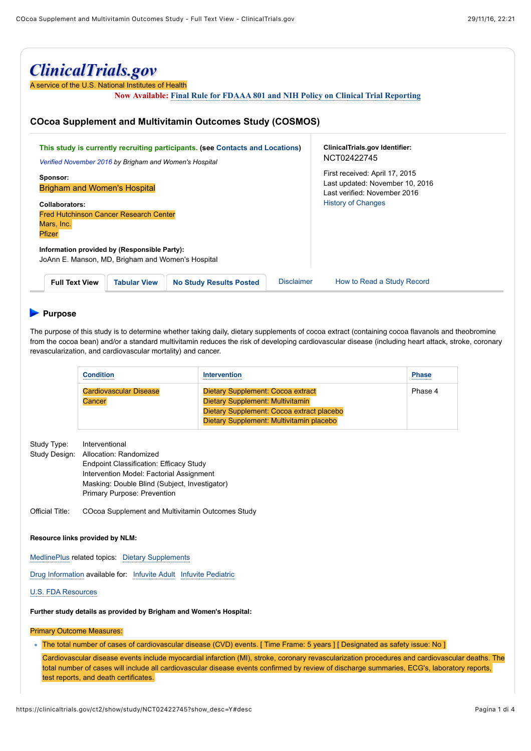| <b>ClinicalTrials.gov</b><br>A service of the U.S. National Institutes of Health<br><b>Now Available: Final Rule for FDAAA 801 and NIH Policy on Clinical Trial Reporting</b><br><b>COcoa Supplement and Multivitamin Outcomes Study (COSMOS)</b> |                                                 |  |  |  |  |
|---------------------------------------------------------------------------------------------------------------------------------------------------------------------------------------------------------------------------------------------------|-------------------------------------------------|--|--|--|--|
|                                                                                                                                                                                                                                                   |                                                 |  |  |  |  |
| Information provided by (Responsible Party):<br>JoAnn E. Manson, MD, Brigham and Women's Hospital                                                                                                                                                 |                                                 |  |  |  |  |
| <b>Full Text View</b><br><b>Tabular View</b><br><b>No Study Results Posted</b>                                                                                                                                                                    | <b>Disclaimer</b><br>How to Read a Study Record |  |  |  |  |

# **Purpose**

The purpose of this study is to determine whether taking daily, dietary supplements of cocoa extract (containing cocoa flavanols and theobromine from the cocoa bean) and/or a standard multivitamin reduces the risk of developing cardiovascular disease (including heart attack, stroke, coronary revascularization, and cardiovascular mortality) and cancer.

| Condition                        | Intervention                                                                                                                                                          | <b>Phase</b><br> |
|----------------------------------|-----------------------------------------------------------------------------------------------------------------------------------------------------------------------|------------------|
| Cardiovascular Disease<br>Cancer | Dietary Supplement: Cocoa extract<br><b>Dietary Supplement: Multivitamin</b><br>Dietary Supplement: Cocoa extract placebo<br>Dietary Supplement: Multivitamin placebo | Phase 4          |

| Study Type:   | Interventional                                 |
|---------------|------------------------------------------------|
| Study Design: | Allocation: Randomized                         |
|               | <b>Endpoint Classification: Efficacy Study</b> |
|               | Intervention Model: Factorial Assignment       |
|               | Masking: Double Blind (Subject, Investigator)  |
|               | <b>Primary Purpose: Prevention</b>             |
|               |                                                |

Official Title: COcoa Supplement and Multivitamin Outcomes Study

#### **Resource links provided by NLM:**

MedlinePlus related topics: Dietary Supplements

Drug Information available for: Infuvite Adult Infuvite Pediatric

### U.S. FDA Resources

**Further study details as provided by Brigham and Women's Hospital:**

#### Primary Outcome Measures:

The total number of cases of cardiovascular disease (CVD) events. [ Time Frame: 5 years ] [ Designated as safety issue: No ]

Cardiovascular disease events include myocardial infarction (MI), stroke, coronary revascularization procedures and cardiovascular deaths. The total number of cases will include all cardiovascular disease events confirmed by review of discharge summaries, ECG's, laboratory reports, test reports, and death certificates.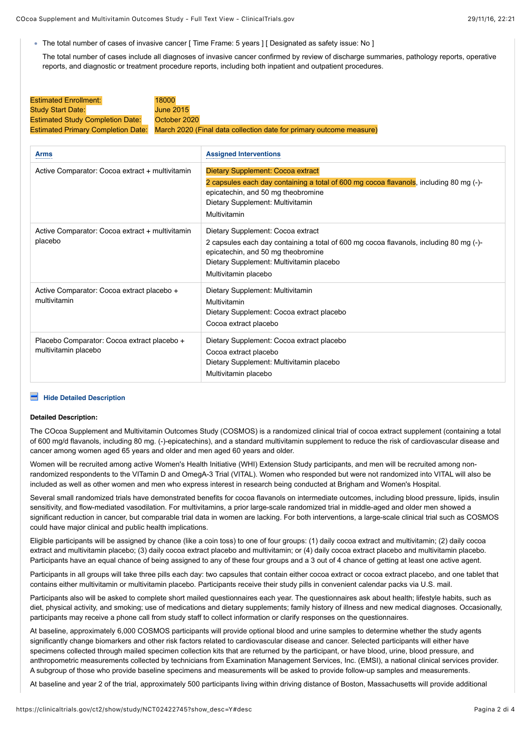- The total number of cases of invasive cancer [ Time Frame: 5 years ] [ Designated as safety issue: No ]
- The total number of cases include all diagnoses of invasive cancer confirmed by review of discharge summaries, pathology reports, operative reports, and diagnostic or treatment procedure reports, including both inpatient and outpatient procedures.

| <b>Estimated Enrollment:</b>            | 18000                                                                                                  |
|-----------------------------------------|--------------------------------------------------------------------------------------------------------|
| <b>Study Start Date:</b>                | <b>June 2015</b>                                                                                       |
| <b>Estimated Study Completion Date:</b> | October 2020                                                                                           |
|                                         | Estimated Primary Completion Date: March 2020 (Final data collection date for primary outcome measure) |

| <b>Arms</b>                                                         | <b>Assigned Interventions</b>                                                                                                                                                                                                         |
|---------------------------------------------------------------------|---------------------------------------------------------------------------------------------------------------------------------------------------------------------------------------------------------------------------------------|
| Active Comparator: Cocoa extract + multivitamin                     | Dietary Supplement: Cocoa extract<br>2 capsules each day containing a total of 600 mg cocoa flavanols, including 80 mg (-)-<br>epicatechin, and 50 mg theobromine<br>Dietary Supplement: Multivitamin<br>Multivitamin                 |
| Active Comparator: Cocoa extract + multivitamin<br>placebo          | Dietary Supplement: Cocoa extract<br>2 capsules each day containing a total of 600 mg cocoa flavanols, including 80 mg (-)-<br>epicatechin, and 50 mg theobromine<br>Dietary Supplement: Multivitamin placebo<br>Multivitamin placebo |
| Active Comparator: Cocoa extract placebo +<br>multivitamin          | Dietary Supplement: Multivitamin<br>Multivitamin<br>Dietary Supplement: Cocoa extract placebo<br>Cocoa extract placebo                                                                                                                |
| Placebo Comparator: Cocoa extract placebo +<br>multivitamin placebo | Dietary Supplement: Cocoa extract placebo<br>Cocoa extract placebo<br>Dietary Supplement: Multivitamin placebo<br>Multivitamin placebo                                                                                                |

# **Hide Detailed Description**

#### **Detailed Description:**

The COcoa Supplement and Multivitamin Outcomes Study (COSMOS) is a randomized clinical trial of cocoa extract supplement (containing a total of 600 mg/d flavanols, including 80 mg. (-)-epicatechins), and a standard multivitamin supplement to reduce the risk of cardiovascular disease and cancer among women aged 65 years and older and men aged 60 years and older.

Women will be recruited among active Women's Health Initiative (WHI) Extension Study participants, and men will be recruited among nonrandomized respondents to the VITamin D and OmegA-3 Trial (VITAL). Women who responded but were not randomized into VITAL will also be included as well as other women and men who express interest in research being conducted at Brigham and Women's Hospital.

Several small randomized trials have demonstrated benefits for cocoa flavanols on intermediate outcomes, including blood pressure, lipids, insulin sensitivity, and flow-mediated vasodilation. For multivitamins, a prior large-scale randomized trial in middle-aged and older men showed a significant reduction in cancer, but comparable trial data in women are lacking. For both interventions, a large-scale clinical trial such as COSMOS could have major clinical and public health implications.

Eligible participants will be assigned by chance (like a coin toss) to one of four groups: (1) daily cocoa extract and multivitamin; (2) daily cocoa extract and multivitamin placebo; (3) daily cocoa extract placebo and multivitamin; or (4) daily cocoa extract placebo and multivitamin placebo. Participants have an equal chance of being assigned to any of these four groups and a 3 out of 4 chance of getting at least one active agent.

Participants in all groups will take three pills each day: two capsules that contain either cocoa extract or cocoa extract placebo, and one tablet that contains either multivitamin or multivitamin placebo. Participants receive their study pills in convenient calendar packs via U.S. mail.

Participants also will be asked to complete short mailed questionnaires each year. The questionnaires ask about health; lifestyle habits, such as diet, physical activity, and smoking; use of medications and dietary supplements; family history of illness and new medical diagnoses. Occasionally, participants may receive a phone call from study staff to collect information or clarify responses on the questionnaires.

At baseline, approximately 6,000 COSMOS participants will provide optional blood and urine samples to determine whether the study agents significantly change biomarkers and other risk factors related to cardiovascular disease and cancer. Selected participants will either have specimens collected through mailed specimen collection kits that are returned by the participant, or have blood, urine, blood pressure, and anthropometric measurements collected by technicians from Examination Management Services, Inc. (EMSI), a national clinical services provider. A subgroup of those who provide baseline specimens and measurements will be asked to provide follow-up samples and measurements.

At baseline and year 2 of the trial, approximately 500 participants living within driving distance of Boston, Massachusetts will provide additional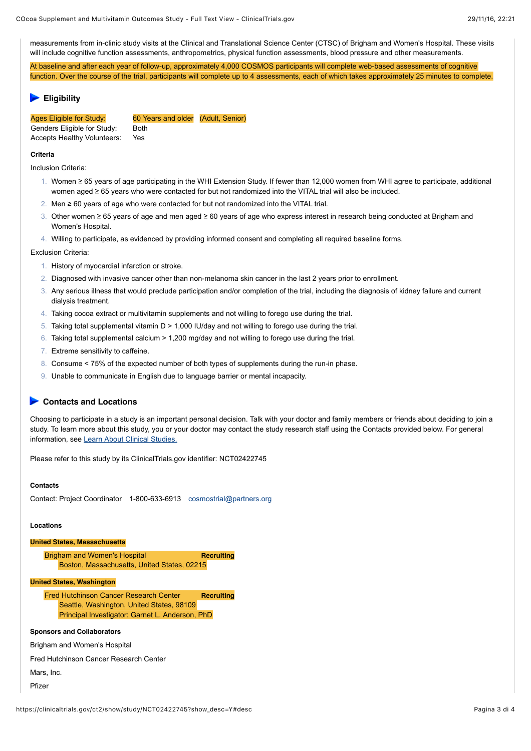measurements from in-clinic study visits at the Clinical and Translational Science Center (CTSC) of Brigham and Women's Hospital. These visits will include cognitive function assessments, anthropometrics, physical function assessments, blood pressure and other measurements.

At baseline and after each year of follow-up, approximately 4,000 COSMOS participants will complete web-based assessments of cognitive function. Over the course of the trial, participants will complete up to 4 assessments, each of which takes approximately 25 minutes to complete.

## **Eligibility**

Genders Eligible for Study: Both Accepts Healthy Volunteers: Yes

Ages Eligible for Study: 60 Years and older (Adult, Senior)

**Criteria**

Inclusion Criteria:

- 1. Women ≥ 65 years of age participating in the WHI Extension Study. If fewer than 12,000 women from WHI agree to participate, additional women aged ≥ 65 years who were contacted for but not randomized into the VITAL trial will also be included.
- 2. Men ≥ 60 years of age who were contacted for but not randomized into the VITAL trial.
- 3. Other women ≥ 65 years of age and men aged ≥ 60 years of age who express interest in research being conducted at Brigham and Women's Hospital.
- 4. Willing to participate, as evidenced by providing informed consent and completing all required baseline forms.

Exclusion Criteria:

- 1. History of myocardial infarction or stroke.
- 2. Diagnosed with invasive cancer other than non-melanoma skin cancer in the last 2 years prior to enrollment.
- 3. Any serious illness that would preclude participation and/or completion of the trial, including the diagnosis of kidney failure and current dialysis treatment.
- 4. Taking cocoa extract or multivitamin supplements and not willing to forego use during the trial.
- 5. Taking total supplemental vitamin D > 1,000 IU/day and not willing to forego use during the trial.
- 6. Taking total supplemental calcium > 1,200 mg/day and not willing to forego use during the trial.
- 7. Extreme sensitivity to caffeine.
- 8. Consume < 75% of the expected number of both types of supplements during the run-in phase.
- 9. Unable to communicate in English due to language barrier or mental incapacity.

# **► Contacts and Locations**

Choosing to participate in a study is an important personal decision. Talk with your doctor and family members or friends about deciding to join a study. To learn more about this study, you or your doctor may contact the study research staff using the Contacts provided below. For general information, see Learn About Clinical Studies.

Please refer to this study by its ClinicalTrials.gov identifier: NCT02422745

### **Contacts**

Contact: Project Coordinator 1-800-633-6913 cosmostrial@partners.org

#### **Locations**

### **United States, Massachusetts**

**Brigham and Women's Hospital <b>Recruiting Recruiting** Boston, Massachusetts, United States, 02215

#### **United States, Washington**

**Fred Hutchinson Cancer Research Center Recruiting** Seattle, Washington, United States, 98109 Principal Investigator: Garnet L. Anderson, PhD

## **Sponsors and Collaborators**

Brigham and Women's Hospital

Fred Hutchinson Cancer Research Center

Mars, Inc.

Pfizer